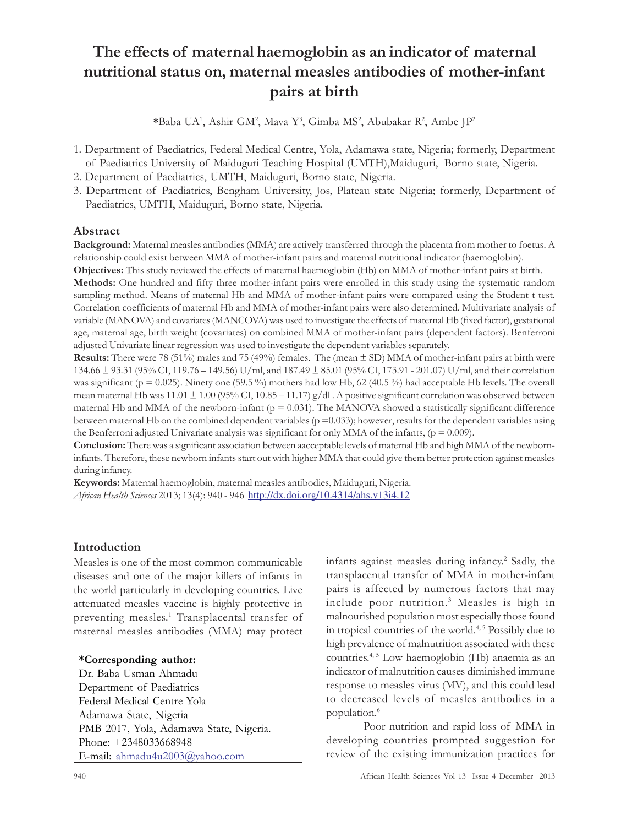# The effects of maternal haemoglobin as an indicator of maternal nutritional status on, maternal measles antibodies of mother-infant pairs at birth

\*Baba UA<sup>1</sup>, Ashir GM<sup>2</sup>, Mava Y<sup>3</sup>, Gimba MS<sup>2</sup>, Abubakar R<sup>2</sup>, Ambe JP<sup>2</sup>

- 1. Department of Paediatrics, Federal Medical Centre, Yola, Adamawa state, Nigeria; formerly, Department of Paediatrics University of Maiduguri Teaching Hospital (UMTH),Maiduguri, Borno state, Nigeria.
- 2. Department of Paediatrics, UMTH, Maiduguri, Borno state, Nigeria.
- 3. Department of Paediatrics, Bengham University, Jos, Plateau state Nigeria; formerly, Department of Paediatrics, UMTH, Maiduguri, Borno state, Nigeria.

# Abstract

Background: Maternal measles antibodies (MMA) are actively transferred through the placenta from mother to foetus. A relationship could exist between MMA of mother-infant pairs and maternal nutritional indicator (haemoglobin).

Objectives: This study reviewed the effects of maternal haemoglobin (Hb) on MMA of mother-infant pairs at birth. Methods: One hundred and fifty three mother-infant pairs were enrolled in this study using the systematic random sampling method. Means of maternal Hb and MMA of mother-infant pairs were compared using the Student t test. Correlation coefficients of maternal Hb and MMA of mother-infant pairs were also determined. Multivariate analysis of variable (MANOVA) and covariates (MANCOVA) was used to investigate the effects of maternal Hb (fixed factor), gestational age, maternal age, birth weight (covariates) on combined MMA of mother-infant pairs (dependent factors). Benferroni adjusted Univariate linear regression was used to investigate the dependent variables separately.

**Results:** There were 78 (51%) males and 75 (49%) females. The (mean  $\pm$  SD) MMA of mother-infant pairs at birth were 134.66 ± 93.31 (95% CI, 119.76 – 149.56) U/ml, and 187.49 ± 85.01 (95% CI, 173.91 - 201.07) U/ml, and their correlation was significant ( $p = 0.025$ ). Ninety one (59.5 %) mothers had low Hb, 62 (40.5 %) had acceptable Hb levels. The overall mean maternal Hb was  $11.01 \pm 1.00$  (95% CI,  $10.85 - 11.17$ ) g/dl. A positive significant correlation was observed between maternal Hb and MMA of the newborn-infant ( $p = 0.031$ ). The MANOVA showed a statistically significant difference between maternal Hb on the combined dependent variables ( $p = 0.033$ ); however, results for the dependent variables using the Benferroni adjusted Univariate analysis was significant for only MMA of the infants,  $(p = 0.009)$ .

Conclusion: There was a significant association between aacceptable levels of maternal Hb and high MMA of the newborninfants. Therefore, these newborn infants start out with higher MMA that could give them better protection against measles during infancy.

Keywords: Maternal haemoglobin, maternal measles antibodies, Maiduguri, Nigeria. African Health Sciences 2013; 13(4): 940 - 946 http://dx.doi.org/10.4314/ahs.v13i4.12

# Introduction

Measles is one of the most common communicable diseases and one of the major killers of infants in the world particularly in developing countries. Live attenuated measles vaccine is highly protective in preventing measles. 1 Transplacental transfer of maternal measles antibodies (MMA) may protect

## \*Corresponding author:

Dr. Baba Usman Ahmadu Department of Paediatrics Federal Medical Centre Yola Adamawa State, Nigeria PMB 2017, Yola, Adamawa State, Nigeria. Phone: +2348033668948 E-mail: ahmadu4u2003@yahoo.com

infants against measles during infancy.<sup>2</sup> Sadly, the transplacental transfer of MMA in mother-infant pairs is affected by numerous factors that may include poor nutrition.<sup>3</sup> Measles is high in malnourished population most especially those found in tropical countries of the world.<sup>4, 5</sup> Possibly due to high prevalence of malnutrition associated with these countries. 4, 5 Low haemoglobin (Hb) anaemia as an indicator of malnutrition causes diminished immune response to measles virus (MV), and this could lead to decreased levels of measles antibodies in a population.<sup>6</sup>

Poor nutrition and rapid loss of MMA in developing countries prompted suggestion for review of the existing immunization practices for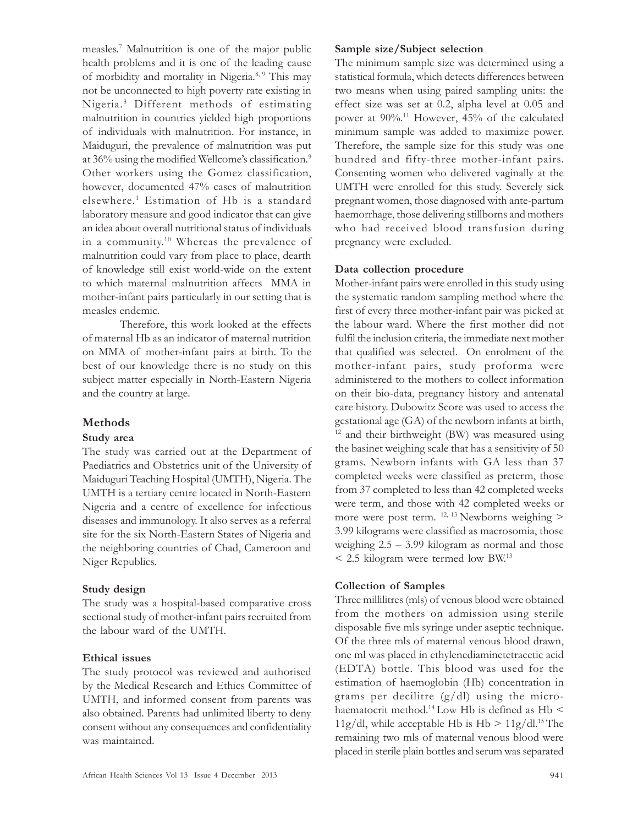measles. 7 Malnutrition is one of the major public health problems and it is one of the leading cause of morbidity and mortality in Nigeria.<sup>8, 9</sup> This may not be unconnected to high poverty rate existing in Nigeria. <sup>8</sup> Different methods of estimating malnutrition in countries yielded high proportions of individuals with malnutrition. For instance, in Maiduguri, the prevalence of malnutrition was put at 36% using the modified Wellcome's classification.<sup>9</sup> Other workers using the Gomez classification, however, documented 47% cases of malnutrition elsewhere.<sup>1</sup> Estimation of Hb is a standard laboratory measure and good indicator that can give an idea about overall nutritional status of individuals in a community. <sup>10</sup> Whereas the prevalence of malnutrition could vary from place to place, dearth of knowledge still exist world-wide on the extent to which maternal malnutrition affects MMA in mother-infant pairs particularly in our setting that is measles endemic.

Therefore, this work looked at the effects of maternal Hb as an indicator of maternal nutrition on MMA of mother-infant pairs at birth. To the best of our knowledge there is no study on this subject matter especially in North-Eastern Nigeria and the country at large.

## Methods

#### Study area

The study was carried out at the Department of Paediatrics and Obstetrics unit of the University of Maiduguri Teaching Hospital (UMTH), Nigeria. The UMTH is a tertiary centre located in North-Eastern Nigeria and a centre of excellence for infectious diseases and immunology. It also serves as a referral site for the six North-Eastern States of Nigeria and the neighboring countries of Chad, Cameroon and Niger Republics.

## Study design

The study was a hospital-based comparative cross sectional study of mother-infant pairs recruited from the labour ward of the UMTH.

## Ethical issues

The study protocol was reviewed and authorised by the Medical Research and Ethics Committee of UMTH, and informed consent from parents was also obtained. Parents had unlimited liberty to deny consent without any consequences and confidentiality was maintained.

#### Sample size/Subject selection

The minimum sample size was determined using a statistical formula, which detects differences between two means when using paired sampling units: the effect size was set at 0.2, alpha level at 0.05 and power at 90%.<sup>11</sup> However, 45% of the calculated minimum sample was added to maximize power. Therefore, the sample size for this study was one hundred and fifty-three mother-infant pairs. Consenting women who delivered vaginally at the UMTH were enrolled for this study. Severely sick pregnant women, those diagnosed with ante-partum haemorrhage, those delivering stillborns and mothers who had received blood transfusion during pregnancy were excluded.

## Data collection procedure

Mother-infant pairs were enrolled in this study using the systematic random sampling method where the first of every three mother-infant pair was picked at the labour ward. Where the first mother did not fulfil the inclusion criteria, the immediate next mother that qualified was selected. On enrolment of the mother-infant pairs, study proforma were administered to the mothers to collect information on their bio-data, pregnancy history and antenatal care history. Dubowitz Score was used to access the gestational age (GA) of the newborn infants at birth, <sup>12</sup> and their birthweight (BW) was measured using the basinet weighing scale that has a sensitivity of 50 grams. Newborn infants with GA less than 37 completed weeks were classified as preterm, those from 37 completed to less than 42 completed weeks were term, and those with 42 completed weeks or more were post term. 12, 13 Newborns weighing > 3.99 kilograms were classified as macrosomia, those weighing 2.5 – 3.99 kilogram as normal and those < 2.5 kilogram were termed low BW. 13

## Collection of Samples

Three millilitres (mls) of venous blood were obtained from the mothers on admission using sterile disposable five mls syringe under aseptic technique. Of the three mls of maternal venous blood drawn, one ml was placed in ethylenediaminetetracetic acid (EDTA) bottle. This blood was used for the estimation of haemoglobin (Hb) concentration in grams per decilitre  $(g/dl)$  using the microhaematocrit method.<sup>14</sup> Low Hb is defined as Hb < 11g/dl, while acceptable Hb is  $Hb > 11g/dl^{15}$  The remaining two mls of maternal venous blood were placed in sterile plain bottles and serum was separated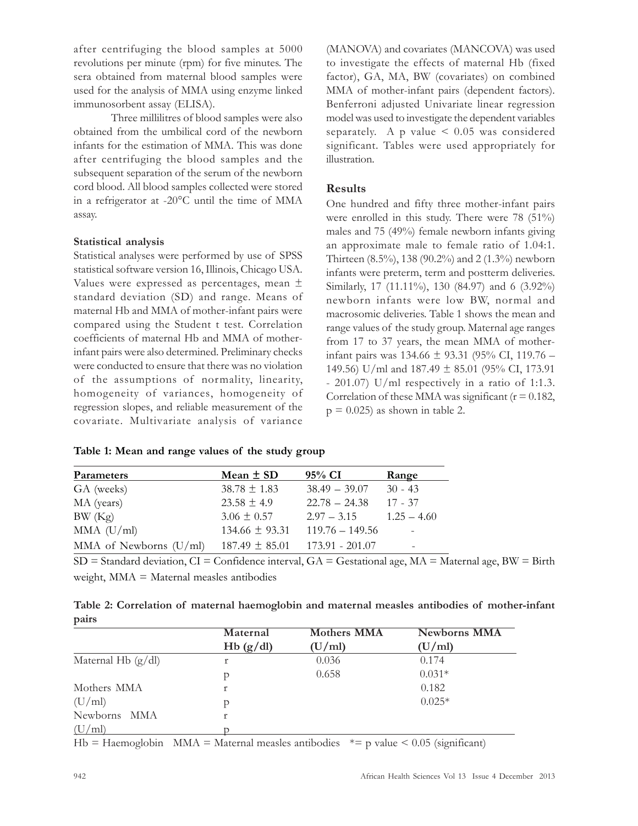after centrifuging the blood samples at 5000 revolutions per minute (rpm) for five minutes. The sera obtained from maternal blood samples were used for the analysis of MMA using enzyme linked immunosorbent assay (ELISA).

Three millilitres of blood samples were also obtained from the umbilical cord of the newborn infants for the estimation of MMA. This was done after centrifuging the blood samples and the subsequent separation of the serum of the newborn cord blood. All blood samples collected were stored in a refrigerator at -20°C until the time of MMA assay.

#### Statistical analysis

Statistical analyses were performed by use of SPSS statistical software version 16, Illinois, Chicago USA. Values were expressed as percentages, mean ± standard deviation (SD) and range. Means of maternal Hb and MMA of mother-infant pairs were compared using the Student t test. Correlation coefficients of maternal Hb and MMA of motherinfant pairs were also determined. Preliminary checks were conducted to ensure that there was no violation of the assumptions of normality, linearity, homogeneity of variances, homogeneity of regression slopes, and reliable measurement of the covariate. Multivariate analysis of variance (MANOVA) and covariates (MANCOVA) was used to investigate the effects of maternal Hb (fixed factor), GA, MA, BW (covariates) on combined MMA of mother-infant pairs (dependent factors). Benferroni adjusted Univariate linear regression model was used to investigate the dependent variables separately. A p value  $\leq 0.05$  was considered significant. Tables were used appropriately for illustration.

# Results

One hundred and fifty three mother-infant pairs were enrolled in this study. There were 78 (51%) males and 75 (49%) female newborn infants giving an approximate male to female ratio of 1.04:1. Thirteen (8.5%), 138 (90.2%) and 2 (1.3%) newborn infants were preterm, term and postterm deliveries. Similarly, 17 (11.11%), 130 (84.97) and 6 (3.92%) newborn infants were low BW, normal and macrosomic deliveries. Table 1 shows the mean and range values of the study group. Maternal age ranges from 17 to 37 years, the mean MMA of motherinfant pairs was 134.66 ± 93.31 (95% CI, 119.76 – 149.56) U/ml and 187.49 ± 85.01 (95% CI, 173.91 - 201.07) U/ml respectively in a ratio of 1:1.3. Correlation of these MMA was significant ( $r = 0.182$ ,  $p = 0.025$ ) as shown in table 2.

| Table 1: Mean and range values of the study group |  |
|---------------------------------------------------|--|
|---------------------------------------------------|--|

| Parameters               | Mean $\pm$ SD      | 95% CI            | Range                    |
|--------------------------|--------------------|-------------------|--------------------------|
| GA (weeks)               | $38.78 \pm 1.83$   | $38.49 - 39.07$   | $30 - 43$                |
| MA (years)               | $23.58 \pm 4.9$    | $22.78 - 24.38$   | $17 - 37$                |
| BW(Kg)                   | $3.06 \pm 0.57$    | $2.97 - 3.15$     | $1.25 - 4.60$            |
| $MMA$ (U/ml)             | $134.66 \pm 93.31$ | $119.76 - 149.56$ |                          |
| MMA of Newborns $(U/ml)$ | $187.49 \pm 85.01$ | 173.91 - 201.07   | $\overline{\phantom{0}}$ |

SD = Standard deviation, CI = Confidence interval, GA = Gestational age, MA = Maternal age, BW = Birth weight, MMA = Maternal measles antibodies

|       |  |  |  |  | Table 2: Correlation of maternal haemoglobin and maternal measles antibodies of mother-infant |
|-------|--|--|--|--|-----------------------------------------------------------------------------------------------|
| pairs |  |  |  |  |                                                                                               |

|                      | Maternal | <b>Mothers MMA</b> | <b>Newborns MMA</b> |
|----------------------|----------|--------------------|---------------------|
|                      | Hb(g/dl) | (U/ml)             | (U/ml)              |
| Maternal Hb $(g/dl)$ |          | 0.036              | 0.174               |
|                      |          | 0.658              | $0.031*$            |
| Mothers MMA          |          |                    | 0.182               |
| (U/ml)               |          |                    | $0.025*$            |
| Newborns MMA         |          |                    |                     |
| (U/ml)               |          |                    |                     |

Hb = Haemoglobin MMA = Maternal measles antibodies \*= p value < 0.05 (significant)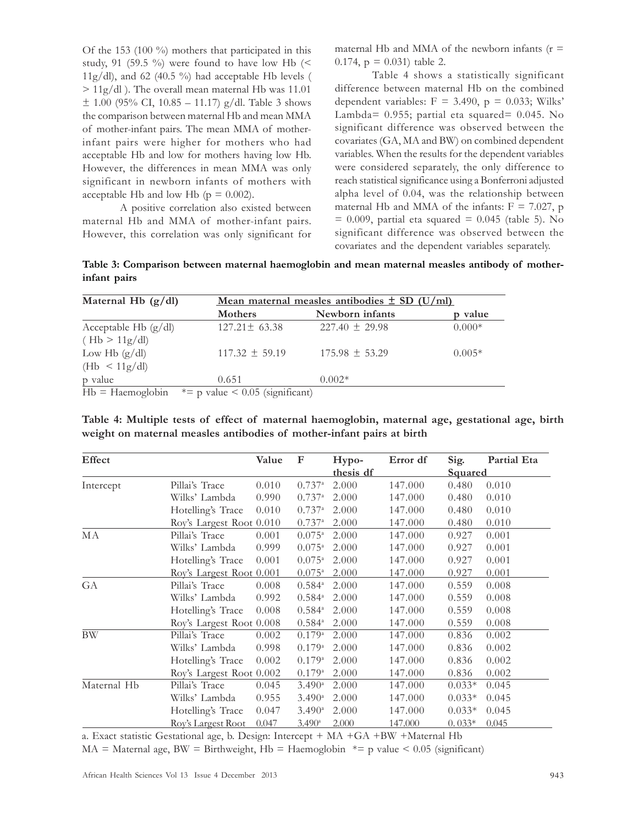Of the 153 (100 %) mothers that participated in this study, 91 (59.5 %) were found to have low Hb ( $\leq$ 11g/dl), and 62 (40.5 %) had acceptable Hb levels ( > 11g/dl ). The overall mean maternal Hb was 11.01  $\pm$  1.00 (95% CI, 10.85 – 11.17) g/dl. Table 3 shows the comparison between maternal Hb and mean MMA of mother-infant pairs. The mean MMA of motherinfant pairs were higher for mothers who had acceptable Hb and low for mothers having low Hb. However, the differences in mean MMA was only significant in newborn infants of mothers with acceptable Hb and low Hb ( $p = 0.002$ ).

A positive correlation also existed between maternal Hb and MMA of mother-infant pairs. However, this correlation was only significant for maternal Hb and MMA of the newborn infants  $(r =$ 0.174,  $p = 0.031$  table 2.

Table 4 shows a statistically significant difference between maternal Hb on the combined dependent variables:  $F = 3.490$ ,  $p = 0.033$ ; Wilks' Lambda= 0.955; partial eta squared= 0.045. No significant difference was observed between the covariates (GA, MA and BW) on combined dependent variables. When the results for the dependent variables were considered separately, the only difference to reach statistical significance using a Bonferroni adjusted alpha level of 0.04, was the relationship between maternal Hb and MMA of the infants:  $F = 7.027$ , p  $= 0.009$ , partial eta squared  $= 0.045$  (table 5). No significant difference was observed between the covariates and the dependent variables separately.

Table 3: Comparison between maternal haemoglobin and mean maternal measles antibody of motherinfant pairs

| Maternal Hb $(g/dl)$   | <u>Mean maternal measles antibodies <math>\pm</math> SD (U/ml)</u> |                    |          |  |  |  |
|------------------------|--------------------------------------------------------------------|--------------------|----------|--|--|--|
|                        | Mothers                                                            | Newborn infants    | p value  |  |  |  |
| Acceptable Hb $(g/dl)$ | $127.21 \pm 63.38$                                                 | $227.40 \pm 29.98$ | $0.000*$ |  |  |  |
| (Hb > 11g/dl)          |                                                                    |                    |          |  |  |  |
| Low Hb $(g/dl)$        | $117.32 \pm 59.19$                                                 | $175.98 \pm 53.29$ | $0.005*$ |  |  |  |
| (Hb < 11g/dl)          |                                                                    |                    |          |  |  |  |
| p value                | 0.651                                                              | $0.002*$           |          |  |  |  |
| $Hb = Haemoglobin$     | $* = p$ value < 0.05 (significant)                                 |                    |          |  |  |  |

Table 4: Multiple tests of effect of maternal haemoglobin, maternal age, gestational age, birth weight on maternal measles antibodies of mother-infant pairs at birth

| <b>Effect</b> |                          | Value | F                    | Hypo-     | Error df | Sig.           | Partial Eta |
|---------------|--------------------------|-------|----------------------|-----------|----------|----------------|-------------|
|               |                          |       |                      | thesis df |          | <b>Squared</b> |             |
| Intercept     | Pillai's Trace           | 0.010 | $0.737$ <sup>a</sup> | 2.000     | 147.000  | 0.480          | 0.010       |
|               | Wilks' Lambda            | 0.990 | $0.737$ <sup>a</sup> | 2.000     | 147.000  | 0.480          | 0.010       |
|               | Hotelling's Trace        | 0.010 | $0.737$ <sup>a</sup> | 2.000     | 147.000  | 0.480          | 0.010       |
|               | Roy's Largest Root 0.010 |       | $0.737$ <sup>a</sup> | 2.000     | 147.000  | 0.480          | 0.010       |
| МA            | Pillai's Trace           | 0.001 | $0.075^{\circ}$      | 2.000     | 147.000  | 0.927          | 0.001       |
|               | Wilks' Lambda            | 0.999 | $0.075^{\circ}$      | 2.000     | 147.000  | 0.927          | 0.001       |
|               | Hotelling's Trace        | 0.001 | $0.075^{\circ}$      | 2.000     | 147.000  | 0.927          | 0.001       |
|               | Roy's Largest Root 0.001 |       | $0.075^{\circ}$      | 2.000     | 147.000  | 0.927          | 0.001       |
| GA            | Pillai's Trace           | 0.008 | $0.584^{\circ}$      | 2.000     | 147.000  | 0.559          | 0.008       |
|               | Wilks' Lambda            | 0.992 | $0.584^{a}$          | 2.000     | 147.000  | 0.559          | 0.008       |
|               | Hotelling's Trace        | 0.008 | $0.584^{\circ}$      | 2.000     | 147.000  | 0.559          | 0.008       |
|               | Roy's Largest Root 0.008 |       | $0.584^{a}$          | 2.000     | 147.000  | 0.559          | 0.008       |
| BW            | Pillai's Trace           | 0.002 | $0.179$ <sup>a</sup> | 2.000     | 147.000  | 0.836          | 0.002       |
|               | Wilks' Lambda            | 0.998 | $0.179$ <sup>a</sup> | 2.000     | 147.000  | 0.836          | 0.002       |
|               | Hotelling's Trace        | 0.002 | $0.179$ <sup>a</sup> | 2.000     | 147.000  | 0.836          | 0.002       |
|               | Roy's Largest Root 0.002 |       | $0.179^{a}$          | 2.000     | 147.000  | 0.836          | 0.002       |
| Maternal Hb   | Pillai's Trace           | 0.045 | $3.490^{\circ}$      | 2.000     | 147.000  | $0.033*$       | 0.045       |
|               | Wilks' Lambda            | 0.955 | $3.490^{\circ}$      | 2.000     | 147.000  | $0.033*$       | 0.045       |
|               | Hotelling's Trace        | 0.047 | $3.490^{\circ}$      | 2.000     | 147.000  | $0.033*$       | 0.045       |
|               | Roy's Largest Root       | 0.047 | $3.490^{\circ}$      | 2.000     | 147.000  | $0.033*$       | 0.045       |

a. Exact statistic Gestational age, b. Design: Intercept + MA +GA +BW +Maternal Hb

 $MA = Maternal age$ , BW = Birthweight, Hb = Haemoglobin  $* = p$  value < 0.05 (significant)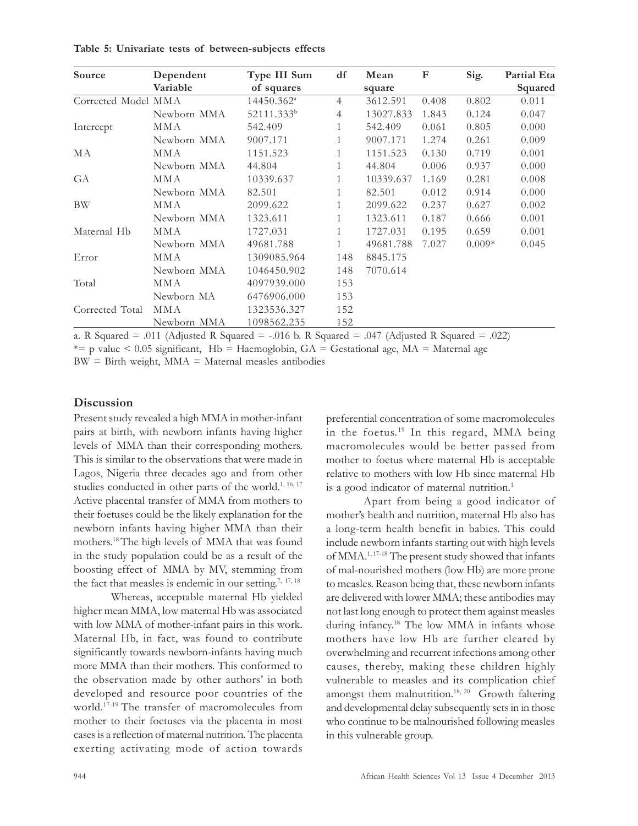| Source              | Dependent   | Type III Sum           | df             | Mean      | $\mathbf F$ | Sig.     | <b>Partial Eta</b> |
|---------------------|-------------|------------------------|----------------|-----------|-------------|----------|--------------------|
|                     | Variable    | of squares             |                | square    |             |          | Squared            |
| Corrected Model MMA |             | 14450.362 <sup>a</sup> | $\overline{4}$ | 3612.591  | 0.408       | 0.802    | 0.011              |
|                     | Newborn MMA | 52111.333 <sup>b</sup> | 4              | 13027.833 | 1.843       | 0.124    | 0.047              |
| Intercept           | MMA         | 542.409                | 1              | 542.409   | 0.061       | 0.805    | 0.000              |
|                     | Newborn MMA | 9007.171               | 1              | 9007.171  | 1.274       | 0.261    | 0.009              |
| MA                  | MMA         | 1151.523               | 1              | 1151.523  | 0.130       | 0.719    | 0.001              |
|                     | Newborn MMA | 44.804                 | 1              | 44.804    | 0.006       | 0.937    | 0.000              |
| GA                  | MMA         | 10339.637              | 1              | 10339.637 | 1.169       | 0.281    | 0.008              |
|                     | Newborn MMA | 82.501                 | 1              | 82.501    | 0.012       | 0.914    | 0.000              |
| BW                  | MMA         | 2099.622               | 1              | 2099.622  | 0.237       | 0.627    | 0.002              |
|                     | Newborn MMA | 1323.611               | 1              | 1323.611  | 0.187       | 0.666    | 0.001              |
| Maternal Hb         | MMA         | 1727.031               | 1              | 1727.031  | 0.195       | 0.659    | 0.001              |
|                     | Newborn MMA | 49681.788              | 1              | 49681.788 | 7.027       | $0.009*$ | 0.045              |
| Error               | <b>MMA</b>  | 1309085.964            | 148            | 8845.175  |             |          |                    |
|                     | Newborn MMA | 1046450.902            | 148            | 7070.614  |             |          |                    |
| Total               | MMA         | 4097939.000            | 153            |           |             |          |                    |
|                     | Newborn MA  | 6476906.000            | 153            |           |             |          |                    |
| Corrected Total     | MMA         | 1323536.327            | 152            |           |             |          |                    |
|                     | Newborn MMA | 1098562.235            | 152            |           |             |          |                    |

Table 5: Univariate tests of between-subjects effects

a. R Squared  $= .011$  (Adjusted R Squared  $= .016$  b. R Squared  $= .047$  (Adjusted R Squared  $= .022$ )

\*= p value  $\leq$  0.05 significant, Hb = Haemoglobin, GA = Gestational age, MA = Maternal age

 $BW = Birth weight, MMA = Maternal$  measles antibodies

#### **Discussion**

Present study revealed a high MMA in mother-infant pairs at birth, with newborn infants having higher levels of MMA than their corresponding mothers. This is similar to the observations that were made in Lagos, Nigeria three decades ago and from other studies conducted in other parts of the world.<sup>1, 16, 17</sup> Active placental transfer of MMA from mothers to their foetuses could be the likely explanation for the newborn infants having higher MMA than their mothers.<sup>18</sup>The high levels of MMA that was found in the study population could be as a result of the boosting effect of MMA by MV, stemming from the fact that measles is endemic in our setting.<sup>7, 17, 18</sup>

Whereas, acceptable maternal Hb yielded higher mean MMA, low maternal Hb was associated with low MMA of mother-infant pairs in this work. Maternal Hb, in fact, was found to contribute significantly towards newborn-infants having much more MMA than their mothers. This conformed to the observation made by other authors' in both developed and resource poor countries of the world.17-19 The transfer of macromolecules from mother to their foetuses via the placenta in most cases is a reflection of maternal nutrition. The placenta exerting activating mode of action towards preferential concentration of some macromolecules in the foetus. <sup>19</sup> In this regard, MMA being macromolecules would be better passed from mother to foetus where maternal Hb is acceptable relative to mothers with low Hb since maternal Hb is a good indicator of maternal nutrition.<sup>1</sup>

Apart from being a good indicator of mother's health and nutrition, maternal Hb also has a long-term health benefit in babies. This could include newborn infants starting out with high levels of MMA.1, 17-18 The present study showed that infants of mal-nourished mothers (low Hb) are more prone to measles. Reason being that, these newborn infants are delivered with lower MMA; these antibodies may not last long enough to protect them against measles during infancy.<sup>18</sup> The low MMA in infants whose mothers have low Hb are further cleared by overwhelming and recurrent infections among other causes, thereby, making these children highly vulnerable to measles and its complication chief amongst them malnutrition.<sup>18, 20</sup> Growth faltering and developmental delay subsequently sets in in those who continue to be malnourished following measles in this vulnerable group.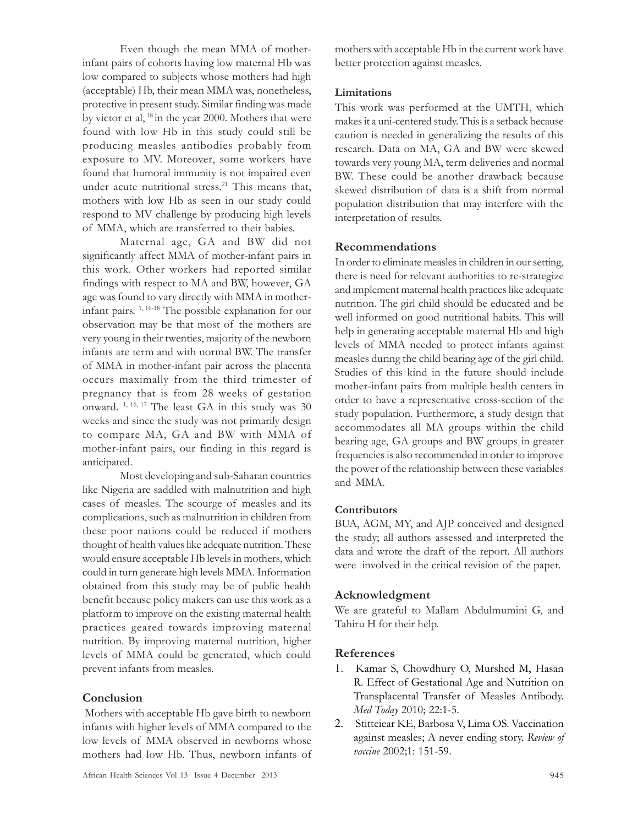Even though the mean MMA of motherinfant pairs of cohorts having low maternal Hb was low compared to subjects whose mothers had high (acceptable) Hb, their mean MMA was, nonetheless, protective in present study. Similar finding was made by victor et al,  $18$  in the year 2000. Mothers that were found with low Hb in this study could still be producing measles antibodies probably from exposure to MV. Moreover, some workers have found that humoral immunity is not impaired even under acute nutritional stress. <sup>21</sup> This means that, mothers with low Hb as seen in our study could respond to MV challenge by producing high levels of MMA, which are transferred to their babies.

Maternal age, GA and BW did not significantly affect MMA of mother-infant pairs in this work. Other workers had reported similar findings with respect to MA and BW, however, GA age was found to vary directly with MMA in motherinfant pairs. 1, 16-18 The possible explanation for our observation may be that most of the mothers are very young in their twenties, majority of the newborn infants are term and with normal BW. The transfer of MMA in mother-infant pair across the placenta occurs maximally from the third trimester of pregnancy that is from 28 weeks of gestation onward. 1, 16, 17 The least GA in this study was 30 weeks and since the study was not primarily design to compare MA, GA and BW with MMA of mother-infant pairs, our finding in this regard is anticipated.

Most developing and sub-Saharan countries like Nigeria are saddled with malnutrition and high cases of measles. The scourge of measles and its complications, such as malnutrition in children from these poor nations could be reduced if mothers thought of health values like adequate nutrition. These would ensure acceptable Hb levels in mothers, which could in turn generate high levels MMA. Information obtained from this study may be of public health benefit because policy makers can use this work as a platform to improve on the existing maternal health practices geared towards improving maternal nutrition. By improving maternal nutrition, higher levels of MMA could be generated, which could prevent infants from measles.

## Conclusion

 Mothers with acceptable Hb gave birth to newborn infants with higher levels of MMA compared to the low levels of MMA observed in newborns whose mothers had low Hb. Thus, newborn infants of mothers with acceptable Hb in the current work have better protection against measles.

## Limitations

This work was performed at the UMTH, which makes it a uni-centered study. This is a setback because caution is needed in generalizing the results of this research. Data on MA, GA and BW were skewed towards very young MA, term deliveries and normal BW. These could be another drawback because skewed distribution of data is a shift from normal population distribution that may interfere with the interpretation of results.

# Recommendations

In order to eliminate measles in children in our setting, there is need for relevant authorities to re-strategize and implement maternal health practices like adequate nutrition. The girl child should be educated and be well informed on good nutritional habits. This will help in generating acceptable maternal Hb and high levels of MMA needed to protect infants against measles during the child bearing age of the girl child. Studies of this kind in the future should include mother-infant pairs from multiple health centers in order to have a representative cross-section of the study population. Furthermore, a study design that accommodates all MA groups within the child bearing age, GA groups and BW groups in greater frequencies is also recommended in order to improve the power of the relationship between these variables and MMA.

# Contributors

BUA, AGM, MY, and AJP conceived and designed the study; all authors assessed and interpreted the data and wrote the draft of the report. All authors were involved in the critical revision of the paper.

# Acknowledgment

We are grateful to Mallam Abdulmumini G, and Tahiru H for their help.

# References

- 1. Kamar S, Chowdhury O, Murshed M, Hasan R. Effect of Gestational Age and Nutrition on Transplacental Transfer of Measles Antibody. Med Today 2010; 22:1-5.
- 2. Stitteiear KE, Barbosa V, Lima OS. Vaccination against measles; A never ending story. Review of vaccine 2002;1: 151-59.